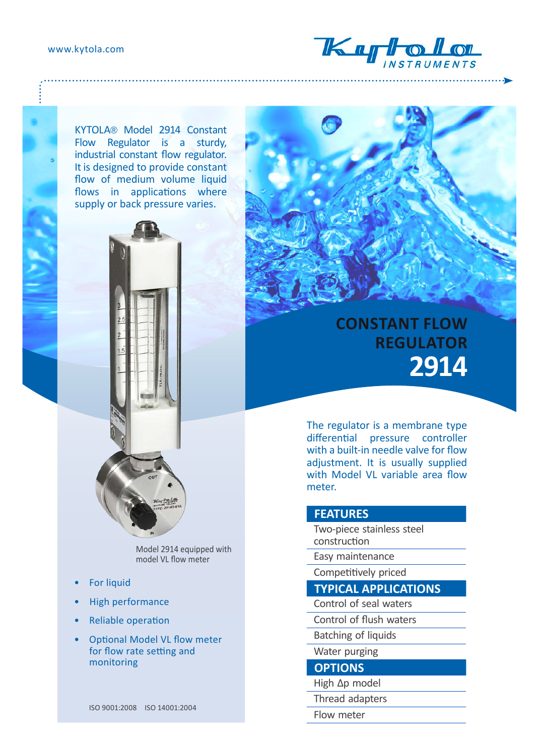www.kytola.com



KYTOLA® Model 2914 Constant Flow Regulator is a sturdy, industrial constant flow regulator. It is designed to provide constant flow of medium volume liquid flows in applications where supply or back pressure varies.





Model 2914 equipped with model VL flow meter

- **For liquid**
- High performance
- Reliable operation
- Optional Model VL flow meter for flow rate setting and monitoring

ISO 9001:2008 ISO 14001:2004

# **CONSTANT FLOW REGULATOR 2914**

The regulator is a membrane type differential pressure controller with a built-in needle valve for flow adjustment. It is usually supplied with Model VL variable area flow meter.

#### **FEATURES**

Two-piece stainless steel construction

Easy maintenance

Competitively priced

### **TYPICAL APPLICATIONS**

- Control of seal waters
- Control of flush waters
- Batching of liquids

Water purging

#### **OPTIONS**

- High Δp model
- Thread adapters
- Flow meter